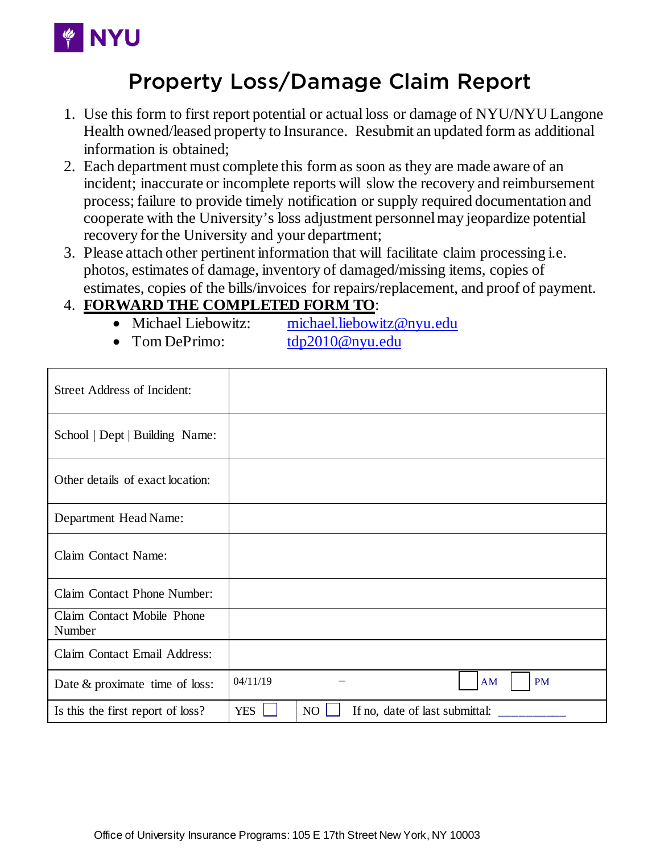

## Property Loss/Damage Claim Report

- 1. Use this form to first report potential or actual loss or damage of NYU/NYU Langone Health owned/leased property to Insurance. Resubmit an updated form as additional information is obtained;
- 2. Each department must complete this form as soon as they are made aware of an incident; inaccurate or incomplete reports will slow the recovery and reimbursement process; failure to provide timely notification or supply required documentation and cooperate with the University's loss adjustment personnel may jeopardize potential recovery for the University and your department;
- 3. Please attach other pertinent information that will facilitate claim processing i.e. photos, estimates of damage, inventory of damaged/missing items, copies of estimates, copies of the bills/invoices for repairs/replacement, and proof of payment.

## 4. **FORWARD THE COMPLETED FORM TO**:

- Michael Liebowitz: [michael.liebowitz@nyu.edu](mailto:michael.liebowitz@nyu.edu)
- Tom DePrimo: [tdp2010@nyu.edu](mailto:tdp2010@nyu.edu)
- 

| <b>Street Address of Incident:</b>   |            |    |                                |                 |
|--------------------------------------|------------|----|--------------------------------|-----------------|
| School   Dept   Building Name:       |            |    |                                |                 |
| Other details of exact location:     |            |    |                                |                 |
| Department Head Name:                |            |    |                                |                 |
| Claim Contact Name:                  |            |    |                                |                 |
| <b>Claim Contact Phone Number:</b>   |            |    |                                |                 |
| Claim Contact Mobile Phone<br>Number |            |    |                                |                 |
| Claim Contact Email Address:         |            |    |                                |                 |
| Date $&$ proximate time of loss:     | 04/11/19   |    |                                | <b>PM</b><br>AM |
| Is this the first report of loss?    | <b>YES</b> | NO | If no, date of last submittal: |                 |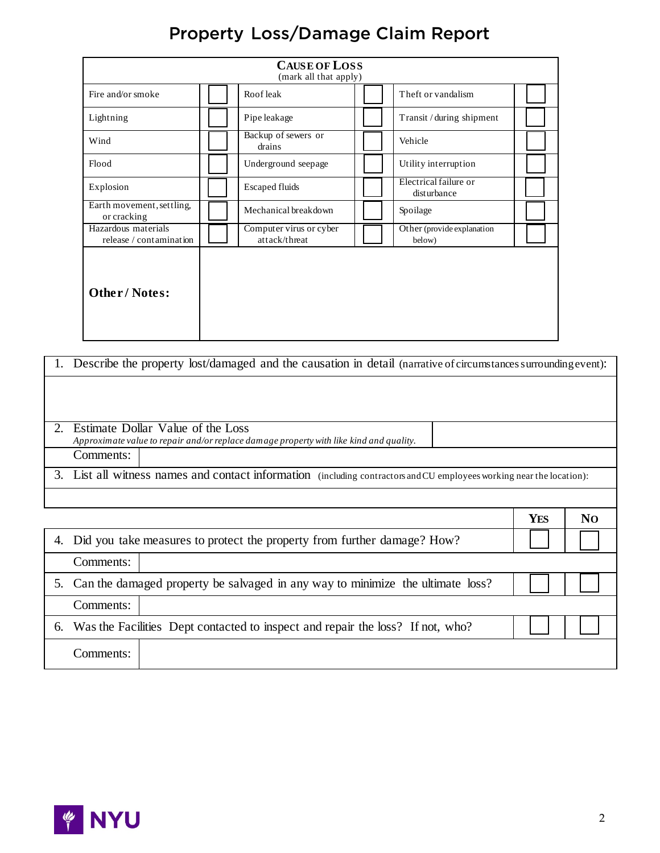## Property Loss/Damage Claim Report

| <b>CAUSE OF LOSS</b><br>(mark all that apply)  |                                          |  |                                      |  |  |
|------------------------------------------------|------------------------------------------|--|--------------------------------------|--|--|
| Fire and/or smoke                              | Roof leak                                |  | Theft or vandalism                   |  |  |
| Lightning                                      | Pipe leakage                             |  | Transit / during shipment            |  |  |
| Wind                                           | Backup of sewers or<br>drains            |  | Vehicle                              |  |  |
| Flood                                          | Underground seepage                      |  | Utility interruption                 |  |  |
| Explosion                                      | <b>Escaped fluids</b>                    |  | Electrical failure or<br>disturbance |  |  |
| Earth movement, settling,<br>or cracking       | Mechanical breakdown                     |  | Spoilage                             |  |  |
| Hazardous materials<br>release / contamination | Computer virus or cyber<br>attack/threat |  | Other (provide explanation<br>below) |  |  |
| <b>Other/Notes:</b>                            |                                          |  |                                      |  |  |

| Describe the property lost/damaged and the causation in detail (narrative of circumstances surrounding event):                           |            |                |
|------------------------------------------------------------------------------------------------------------------------------------------|------------|----------------|
| Estimate Dollar Value of the Loss<br>Approximate value to repair and/or replace damage property with like kind and quality.<br>Comments: |            |                |
| 3. List all witness names and contact information (including contractors and CU employees working near the location):                    |            |                |
|                                                                                                                                          | <b>YES</b> | N <sub>O</sub> |
| Did you take measures to protect the property from further damage? How?                                                                  |            |                |

| 4. |                                                                                   | Did you take measures to protect the property from further damage? How?           |  |  |
|----|-----------------------------------------------------------------------------------|-----------------------------------------------------------------------------------|--|--|
|    | Comments:                                                                         |                                                                                   |  |  |
|    |                                                                                   | 5. Can the damaged property be salvaged in any way to minimize the ultimate loss? |  |  |
|    | Comments:                                                                         |                                                                                   |  |  |
|    | 6. Was the Facilities Dept contacted to inspect and repair the loss? If not, who? |                                                                                   |  |  |
|    | Comments:                                                                         |                                                                                   |  |  |